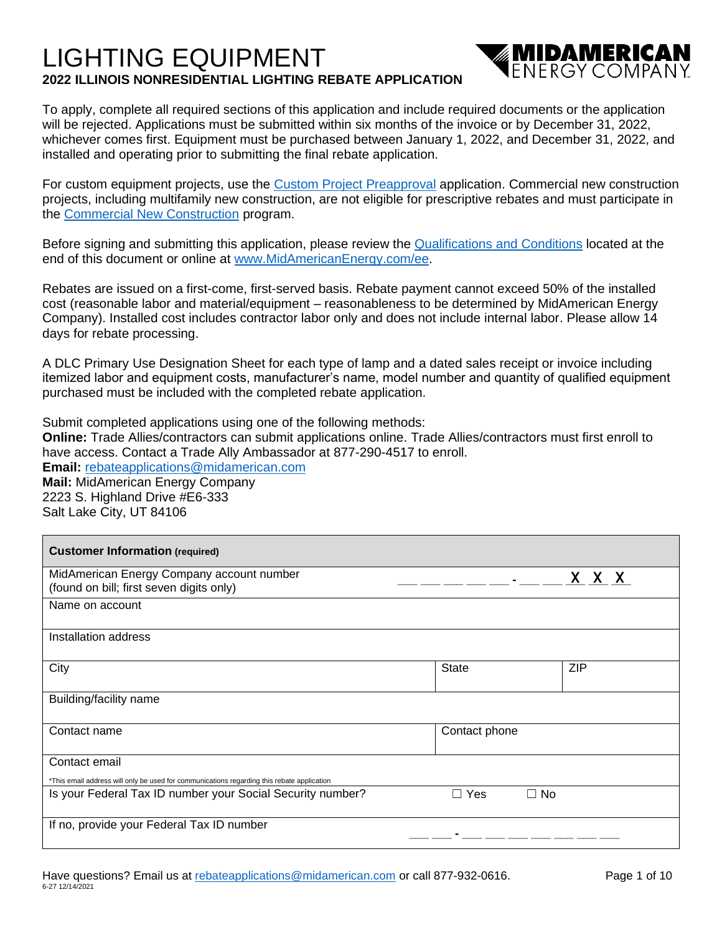# LIGHTING EQUIPMENT **2022 ILLINOIS NONRESIDENTIAL LIGHTING REBATE APPLICATION**



To apply, complete all required sections of this application and include required documents or the application will be rejected. Applications must be submitted within six months of the invoice or by December 31, 2022, whichever comes first. Equipment must be purchased between January 1, 2022, and December 31, 2022, and installed and operating prior to submitting the final rebate application.

For custom equipment projects, use the [Custom Project Preapproval](https://www.midamericanenergy.com/media/pdf/customprojectapprovalapplication.pdf) application. Commercial new construction projects, including multifamily new construction, are not eligible for prescriptive rebates and must participate in the [Commercial New Construction](https://www.midamericanenergy.com/cnc) program.

Before signing and submitting this application, please review the [Qualifications and Conditions](https://www.midamericanenergy.com/ia_qualifications-and-conditions) located at the end of this document or online at [www.MidAmericanEnergy.com/ee.](http://www.midamericanenergy.com/ee)

Rebates are issued on a first-come, first-served basis. Rebate payment cannot exceed 50% of the installed cost (reasonable labor and material/equipment – reasonableness to be determined by MidAmerican Energy Company). Installed cost includes contractor labor only and does not include internal labor. Please allow 14 days for rebate processing.

A DLC Primary Use Designation Sheet for each type of lamp and a dated sales receipt or invoice including itemized labor and equipment costs, manufacturer's name, model number and quantity of qualified equipment purchased must be included with the completed rebate application.

Submit completed applications using one of the following methods: **Online:** Trade Allies/contractors can submit applications online. Trade Allies/contractors must first enroll to have access. Contact a Trade Ally Ambassador at 877-290-4517 to enroll. **Email:** [rebateapplications@midamerican.com](mailto:rebateapplications@midamerican.com) **Mail:** MidAmerican Energy Company 2223 S. Highland Drive #E6-333 Salt Lake City, UT 84106

| <b>Customer Information (required)</b>                                                     |                         |            |
|--------------------------------------------------------------------------------------------|-------------------------|------------|
| MidAmerican Energy Company account number<br>(found on bill; first seven digits only)      |                         | X X X      |
| Name on account                                                                            |                         |            |
| Installation address                                                                       |                         |            |
| City                                                                                       | <b>State</b>            | <b>ZIP</b> |
| Building/facility name                                                                     |                         |            |
| Contact name                                                                               | Contact phone           |            |
| Contact email                                                                              |                         |            |
| *This email address will only be used for communications regarding this rebate application |                         |            |
| Is your Federal Tax ID number your Social Security number?                                 | $\Box$ No<br>Yes<br>- 1 |            |
| If no, provide your Federal Tax ID number                                                  |                         |            |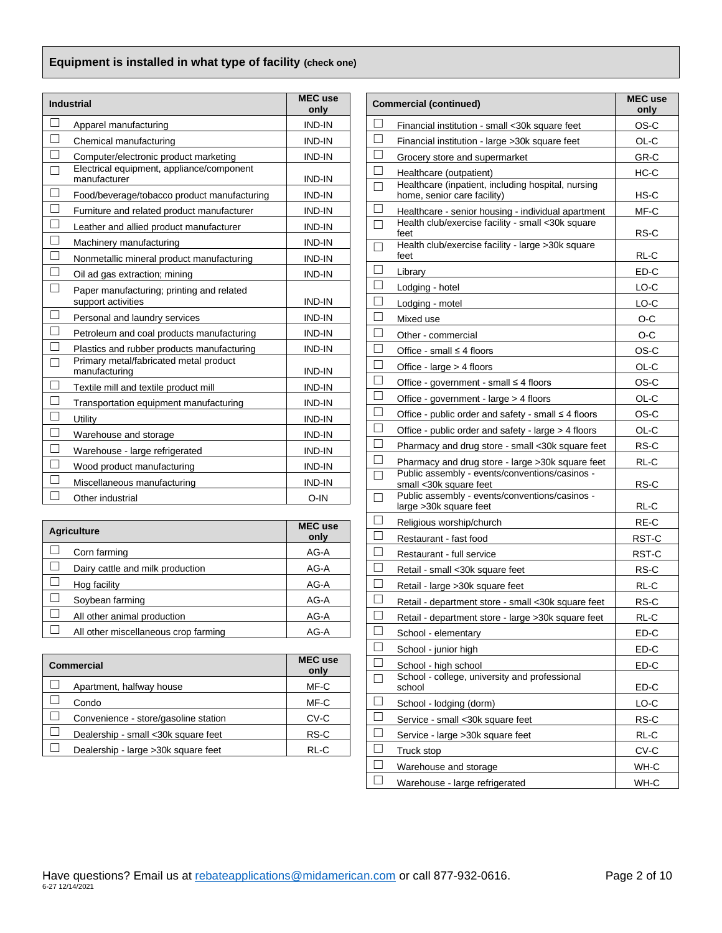## **Equipment is installed in what type of facility (check one)**

| <b>Industrial</b> | <b>MEC</b> use<br>only                                          |               |
|-------------------|-----------------------------------------------------------------|---------------|
|                   | Apparel manufacturing                                           | <b>IND-IN</b> |
|                   | Chemical manufacturing                                          | <b>IND-IN</b> |
|                   | Computer/electronic product marketing                           | <b>IND-IN</b> |
|                   | Electrical equipment, appliance/component<br>manufacturer       | <b>IND-IN</b> |
|                   | Food/beverage/tobacco product manufacturing                     | <b>IND-IN</b> |
|                   | Furniture and related product manufacturer                      | <b>IND-IN</b> |
|                   | Leather and allied product manufacturer                         | IND-IN        |
|                   | Machinery manufacturing                                         | IND-IN        |
|                   | Nonmetallic mineral product manufacturing                       | <b>IND-IN</b> |
|                   | Oil ad gas extraction; mining                                   | <b>IND-IN</b> |
|                   | Paper manufacturing; printing and related<br>support activities | <b>IND-IN</b> |
|                   | Personal and laundry services                                   | <b>IND-IN</b> |
|                   | Petroleum and coal products manufacturing                       | <b>IND-IN</b> |
|                   | Plastics and rubber products manufacturing                      | <b>IND-IN</b> |
|                   | Primary metal/fabricated metal product<br>manufacturing         | <b>IND-IN</b> |
|                   | Textile mill and textile product mill                           | <b>IND-IN</b> |
|                   | Transportation equipment manufacturing                          | <b>IND-IN</b> |
|                   | Utility                                                         | <b>IND-IN</b> |
|                   | Warehouse and storage                                           | <b>IND-IN</b> |
|                   | Warehouse - large refrigerated                                  | <b>IND-IN</b> |
|                   | Wood product manufacturing                                      | <b>IND-IN</b> |
|                   | Miscellaneous manufacturing                                     | <b>IND-IN</b> |
|                   | Other industrial                                                | $O-IN$        |

| <b>Agriculture</b>                   | <b>MEC</b> use<br>only |
|--------------------------------------|------------------------|
| Corn farming                         | AG-A                   |
| Dairy cattle and milk production     | AG-A                   |
| Hog facility                         | AG-A                   |
| Soybean farming                      | AG-A                   |
| All other animal production          | AG-A                   |
| All other miscellaneous crop farming | AG-A                   |

| <b>Commercial</b>                    |      |  |  |  |
|--------------------------------------|------|--|--|--|
| Apartment, halfway house             | MF-C |  |  |  |
| Condo                                | MF-C |  |  |  |
| Convenience - store/gasoline station | CV-C |  |  |  |
| Dealership - small <30k square feet  | RS-C |  |  |  |
| Dealership - large > 30k square feet | RL-C |  |  |  |

| <b>Commercial (continued)</b> | <b>MEC</b> use<br>only                                                            |       |
|-------------------------------|-----------------------------------------------------------------------------------|-------|
| $\Box$                        | Financial institution - small <30k square feet                                    | OS-C  |
| П                             | Financial institution - large >30k square feet                                    | OL-C  |
|                               | Grocery store and supermarket                                                     | GR-C  |
| П                             | Healthcare (outpatient)                                                           | HC-C  |
|                               | Healthcare (inpatient, including hospital, nursing<br>home, senior care facility) | HS-C  |
|                               | Healthcare - senior housing - individual apartment                                | MF-C  |
| П                             | Health club/exercise facility - small <30k square<br>feet                         | RS-C  |
|                               | Health club/exercise facility - large >30k square<br>feet                         | RL-C  |
| П                             | Library                                                                           | ED-C  |
| П                             | Lodging - hotel                                                                   | LO-C  |
| $\mathbf{L}$                  | Lodging - motel                                                                   | LO-C  |
| П                             | Mixed use                                                                         | O-C   |
| П                             | Other - commercial                                                                | O-C   |
| П                             | Office - small $\leq 4$ floors                                                    | OS-C  |
| П                             | Office - large > 4 floors                                                         | OL-C  |
| П                             | Office - government - small $\leq 4$ floors                                       | OS-C  |
| П                             | Office - government - large > 4 floors                                            | OL-C  |
| $\Box$                        | Office - public order and safety - small ≤ 4 floors                               | OS-C  |
| П                             | Office - public order and safety - large > 4 floors                               | OL-C  |
| $\Box$                        | Pharmacy and drug store - small <30k square feet                                  | RS-C  |
| $\mathbf{L}$                  | Pharmacy and drug store - large >30k square feet                                  | RL-C  |
| $\Box$                        | Public assembly - events/conventions/casinos -<br>small <30k square feet          | RS-C  |
|                               | Public assembly - events/conventions/casinos -<br>large > 30k square feet         | RL-C  |
| $\sim$                        | Religious worship/church                                                          | RE-C  |
| П                             | Restaurant - fast food                                                            | RST-C |
|                               | Restaurant - full service                                                         | RST-C |
| $\Box$                        | Retail - small <30k square feet                                                   | RS-C  |
|                               | Retail - large > 30k square feet                                                  | RL-C  |
|                               | Retail - department store - small <30k square feet                                | RS-C  |
|                               | Retail - department store - large > 30k square feet                               | RL-C  |
|                               | School - elementary                                                               | ED-C  |
|                               | School - junior high                                                              | ED-C  |
|                               | School - high school                                                              | ED-C  |
|                               | School - college, university and professional<br>school                           | ED-C  |
| $\mathbf{L}$                  | School - lodging (dorm)                                                           | LO-C  |
|                               | Service - small <30k square feet                                                  | RS-C  |
| $\Box$                        | Service - large > 30k square feet                                                 | RL-C  |
|                               | Truck stop                                                                        | CV-C  |
|                               | Warehouse and storage                                                             | WH-C  |
|                               | Warehouse - large refrigerated                                                    | WH-C  |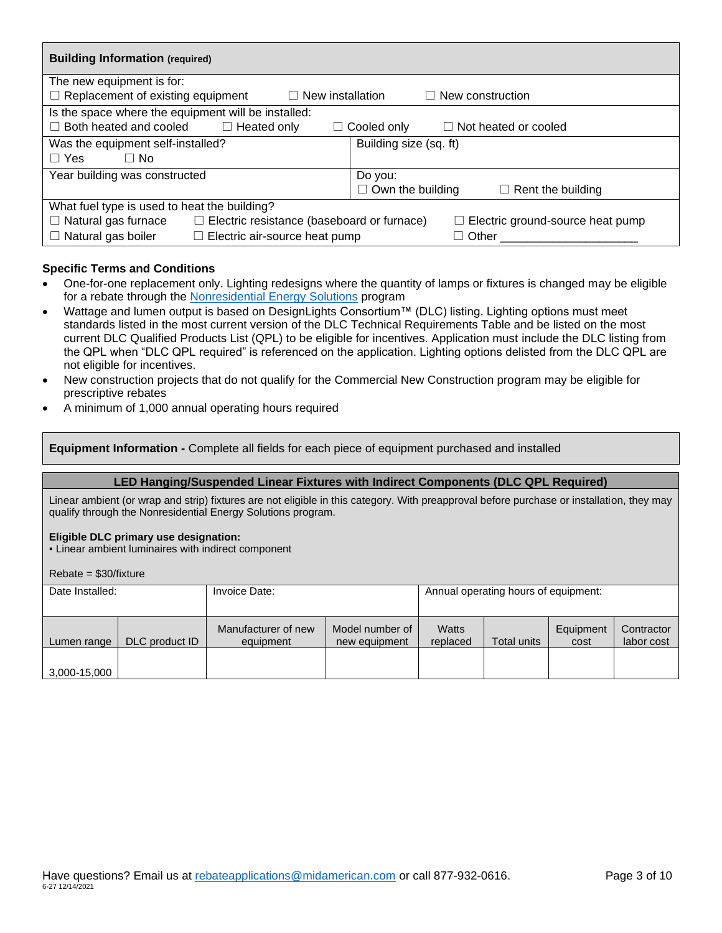| <b>Building Information (required)</b>                                          |                                                     |  |  |  |  |  |  |  |
|---------------------------------------------------------------------------------|-----------------------------------------------------|--|--|--|--|--|--|--|
| The new equipment is for:                                                       |                                                     |  |  |  |  |  |  |  |
| $\Box$ Replacement of existing equipment<br>New installation<br>$\perp$         | $\Box$ New construction                             |  |  |  |  |  |  |  |
| Is the space where the equipment will be installed:                             |                                                     |  |  |  |  |  |  |  |
| Both heated and cooled<br>$\Box$ Heated only<br>$\mathsf{L}$                    | Not heated or cooled<br>Cooled only<br>$\perp$      |  |  |  |  |  |  |  |
| Was the equipment self-installed?                                               | Building size (sq. ft)                              |  |  |  |  |  |  |  |
| $\Box$ Yes<br>□ No                                                              |                                                     |  |  |  |  |  |  |  |
| Year building was constructed                                                   | Do you:                                             |  |  |  |  |  |  |  |
|                                                                                 | $\Box$ Own the building<br>$\Box$ Rent the building |  |  |  |  |  |  |  |
| What fuel type is used to heat the building?                                    |                                                     |  |  |  |  |  |  |  |
| $\Box$ Natural gas furnace<br>$\Box$ Electric resistance (baseboard or furnace) | $\Box$ Electric ground-source heat pump             |  |  |  |  |  |  |  |
| Natural gas boiler<br>Electric air-source heat pump<br>ш                        | Other                                               |  |  |  |  |  |  |  |

## **Specific Terms and Conditions**

- One-for-one replacement only. Lighting redesigns where the quantity of lamps or fixtures is changed may be eligible for a rebate through the [Nonresidential Energy Solutions](https://www.midamericanenergy.com/nonresidentialenergysolutions) program
- Wattage and lumen output is based on DesignLights Consortium™ (DLC) listing. Lighting options must meet standards listed in the most current version of the DLC Technical Requirements Table and be listed on the most current DLC Qualified Products List (QPL) to be eligible for incentives. Application must include the DLC listing from the QPL when "DLC QPL required" is referenced on the application. Lighting options delisted from the DLC QPL are not eligible for incentives.
- New construction projects that do not qualify for the Commercial New Construction program may be eligible for prescriptive rebates
- A minimum of 1,000 annual operating hours required

**Equipment Information -** Complete all fields for each piece of equipment purchased and installed

#### **LED Hanging/Suspended Linear Fixtures with Indirect Components (DLC QPL Required)**

Linear ambient (or wrap and strip) fixtures are not eligible in this category. With preapproval before purchase or installation, they may qualify through the Nonresidential Energy Solutions program.

#### **Eligible DLC primary use designation:**

▪ Linear ambient luminaires with indirect component

Rebate = \$30/fixture

| Date Installed: |                | Invoice Date:                    | Annual operating hours of equipment: |                   |             |                   |                          |
|-----------------|----------------|----------------------------------|--------------------------------------|-------------------|-------------|-------------------|--------------------------|
| Lumen range     | DLC product ID | Manufacturer of new<br>equipment | Model number of<br>new equipment     | Watts<br>replaced | Total units | Equipment<br>cost | Contractor<br>labor cost |
| 3,000-15,000    |                |                                  |                                      |                   |             |                   |                          |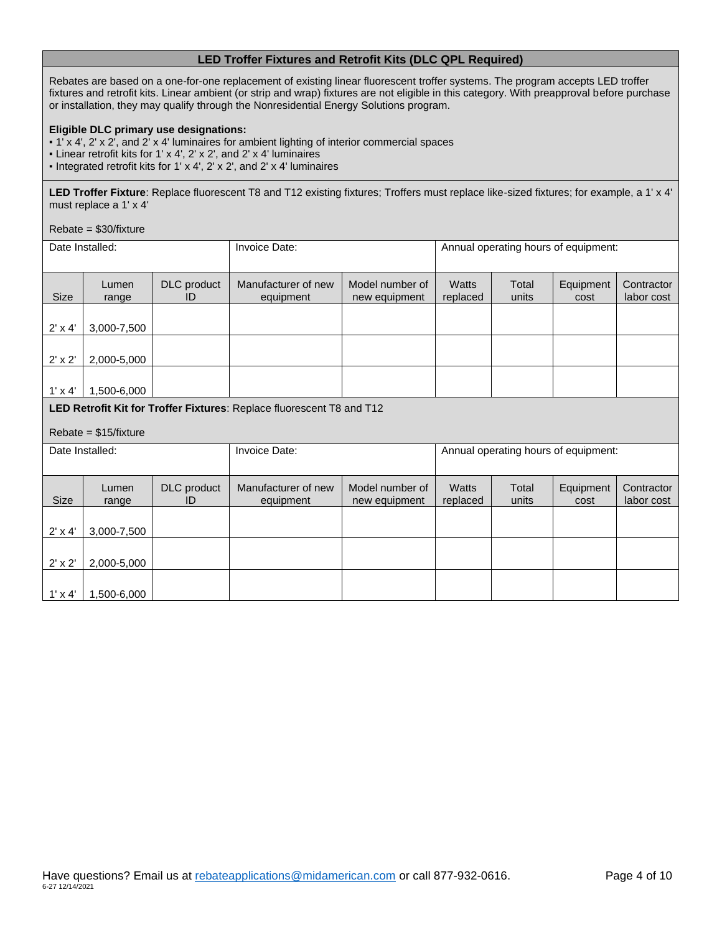## **LED Troffer Fixtures and Retrofit Kits (DLC QPL Required)**

Rebates are based on a one-for-one replacement of existing linear fluorescent troffer systems. The program accepts LED troffer fixtures and retrofit kits. Linear ambient (or strip and wrap) fixtures are not eligible in this category. With preapproval before purchase or installation, they may qualify through the Nonresidential Energy Solutions program.

#### **Eligible DLC primary use designations:**

- 1' x 4', 2' x 2', and 2' x 4' luminaires for ambient lighting of interior commercial spaces
- Linear retrofit kits for 1' x 4', 2' x 2', and 2' x 4' luminaires
- Integrated retrofit kits for 1' x 4', 2' x 2', and 2' x 4' luminaires

**LED Troffer Fixture**: Replace fluorescent T8 and T12 existing fixtures; Troffers must replace like-sized fixtures; for example, a 1' x 4' must replace a 1' x 4'

#### Rebate = \$30/fixture

1' x 4' 1,500-6,000

|                | Date Installed:        |                   | Invoice Date:                                                         |                                      | Annual operating hours of equipment: |                |                   |                          |
|----------------|------------------------|-------------------|-----------------------------------------------------------------------|--------------------------------------|--------------------------------------|----------------|-------------------|--------------------------|
| <b>Size</b>    | Lumen<br>range         | DLC product<br>ID | Manufacturer of new<br>equipment                                      | Model number of<br>new equipment     | <b>Watts</b><br>replaced             | Total<br>units | Equipment<br>cost | Contractor<br>labor cost |
| $2' \times 4'$ | 3,000-7,500            |                   |                                                                       |                                      |                                      |                |                   |                          |
| $2' \times 2'$ | 2,000-5,000            |                   |                                                                       |                                      |                                      |                |                   |                          |
| $1' \times 4'$ | 1,500-6,000            |                   |                                                                       |                                      |                                      |                |                   |                          |
|                |                        |                   | LED Retrofit Kit for Troffer Fixtures: Replace fluorescent T8 and T12 |                                      |                                      |                |                   |                          |
|                | $Rebate = $15/fixture$ |                   |                                                                       |                                      |                                      |                |                   |                          |
|                | Date Installed:        |                   | Invoice Date:                                                         | Annual operating hours of equipment: |                                      |                |                   |                          |
| <b>Size</b>    | Lumen<br>range         | DLC product<br>ID | Manufacturer of new<br>equipment                                      | Model number of<br>new equipment     | <b>Watts</b><br>replaced             | Total<br>units | Equipment<br>cost | Contractor<br>labor cost |
| $2' \times 4'$ | 3,000-7,500            |                   |                                                                       |                                      |                                      |                |                   |                          |
| $2' \times 2'$ | 2,000-5,000            |                   |                                                                       |                                      |                                      |                |                   |                          |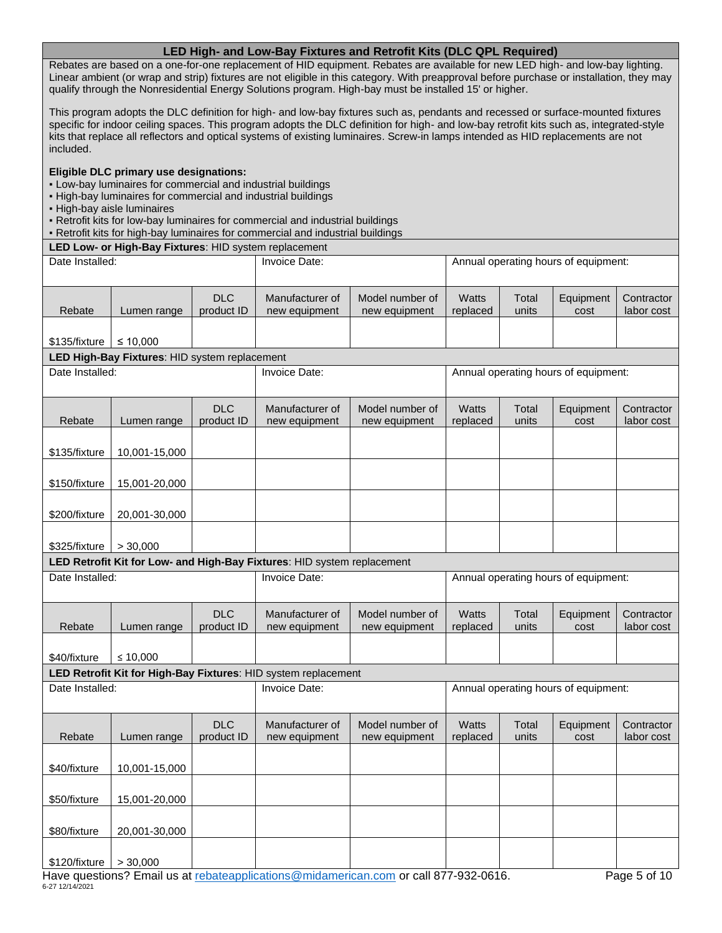## **LED High- and Low-Bay Fixtures and Retrofit Kits (DLC QPL Required)**

Rebates are based on a one-for-one replacement of HID equipment. Rebates are available for new LED high- and low-bay lighting. Linear ambient (or wrap and strip) fixtures are not eligible in this category. With preapproval before purchase or installation, they may qualify through the Nonresidential Energy Solutions program. High-bay must be installed 15' or higher.

This program adopts the DLC definition for high- and low-bay fixtures such as, pendants and recessed or surface-mounted fixtures specific for indoor ceiling spaces. This program adopts the DLC definition for high- and low-bay retrofit kits such as, integrated-style kits that replace all reflectors and optical systems of existing luminaires. Screw-in lamps intended as HID replacements are not included.

#### **Eligible DLC primary use designations:**

- Low-bay luminaires for commercial and industrial buildings
- High-bay luminaires for commercial and industrial buildings
- High-bay aisle luminaires
- Retrofit kits for low-bay luminaires for commercial and industrial buildings
- Retrofit kits for high-bay luminaires for commercial and industrial buildings

**LED Low- or High-Bay Fixtures**: HID system replacement

| Date Installed:         |                                                           |                          | Invoice Date:                                                           |                                                                                       | Annual operating hours of equipment: |                |                                      |                          |
|-------------------------|-----------------------------------------------------------|--------------------------|-------------------------------------------------------------------------|---------------------------------------------------------------------------------------|--------------------------------------|----------------|--------------------------------------|--------------------------|
| Rebate                  | Lumen range                                               | <b>DLC</b><br>product ID | Manufacturer of<br>new equipment                                        | Model number of<br>new equipment                                                      | <b>Watts</b><br>replaced             | Total<br>units | Equipment<br>cost                    | Contractor<br>labor cost |
|                         |                                                           |                          |                                                                         |                                                                                       |                                      |                |                                      |                          |
| \$135/fixture           | ≤ 10,000<br>LED High-Bay Fixtures: HID system replacement |                          |                                                                         |                                                                                       |                                      |                |                                      |                          |
| Date Installed:         |                                                           |                          | Invoice Date:                                                           |                                                                                       |                                      |                | Annual operating hours of equipment: |                          |
|                         |                                                           |                          |                                                                         |                                                                                       |                                      |                |                                      |                          |
| Rebate                  | Lumen range                                               | <b>DLC</b><br>product ID | Manufacturer of<br>new equipment                                        | Model number of<br>new equipment                                                      | <b>Watts</b><br>replaced             | Total<br>units | Equipment<br>cost                    | Contractor<br>labor cost |
| \$135/fixture           | 10,001-15,000                                             |                          |                                                                         |                                                                                       |                                      |                |                                      |                          |
| \$150/fixture           | 15,001-20,000                                             |                          |                                                                         |                                                                                       |                                      |                |                                      |                          |
| \$200/fixture           | 20,001-30,000                                             |                          |                                                                         |                                                                                       |                                      |                |                                      |                          |
| \$325/fixture           | > 30,000                                                  |                          |                                                                         |                                                                                       |                                      |                |                                      |                          |
|                         |                                                           |                          | LED Retrofit Kit for Low- and High-Bay Fixtures: HID system replacement |                                                                                       |                                      |                |                                      |                          |
| Date Installed:         |                                                           |                          | Invoice Date:<br>Annual operating hours of equipment:                   |                                                                                       |                                      |                |                                      |                          |
| Rebate                  | Lumen range                                               | <b>DLC</b><br>product ID | Manufacturer of<br>new equipment                                        | Model number of<br>new equipment                                                      | <b>Watts</b><br>replaced             | Total<br>units | Equipment<br>cost                    | Contractor<br>labor cost |
| \$40/fixture            | ≤ 10,000                                                  |                          |                                                                         |                                                                                       |                                      |                |                                      |                          |
|                         |                                                           |                          | LED Retrofit Kit for High-Bay Fixtures: HID system replacement          |                                                                                       |                                      |                |                                      |                          |
| Date Installed:         |                                                           |                          | Invoice Date:                                                           |                                                                                       |                                      |                | Annual operating hours of equipment: |                          |
| Rebate                  | Lumen range                                               | <b>DLC</b><br>product ID | Manufacturer of<br>new equipment                                        | Model number of<br>new equipment                                                      | <b>Watts</b><br>replaced             | Total<br>units | Equipment<br>cost                    | Contractor<br>labor cost |
| \$40/fixture            | 10,001-15,000                                             |                          |                                                                         |                                                                                       |                                      |                |                                      |                          |
| \$50/fixture            | 15,001-20,000                                             |                          |                                                                         |                                                                                       |                                      |                |                                      |                          |
| \$80/fixture            | 20,001-30,000                                             |                          |                                                                         |                                                                                       |                                      |                |                                      |                          |
| $$120/fixture$ > 30,000 |                                                           |                          |                                                                         | House questions? Email us at rebategraplications@midamerican.com or call 877.032.0616 |                                      |                |                                      | $Dao E$ of $10$          |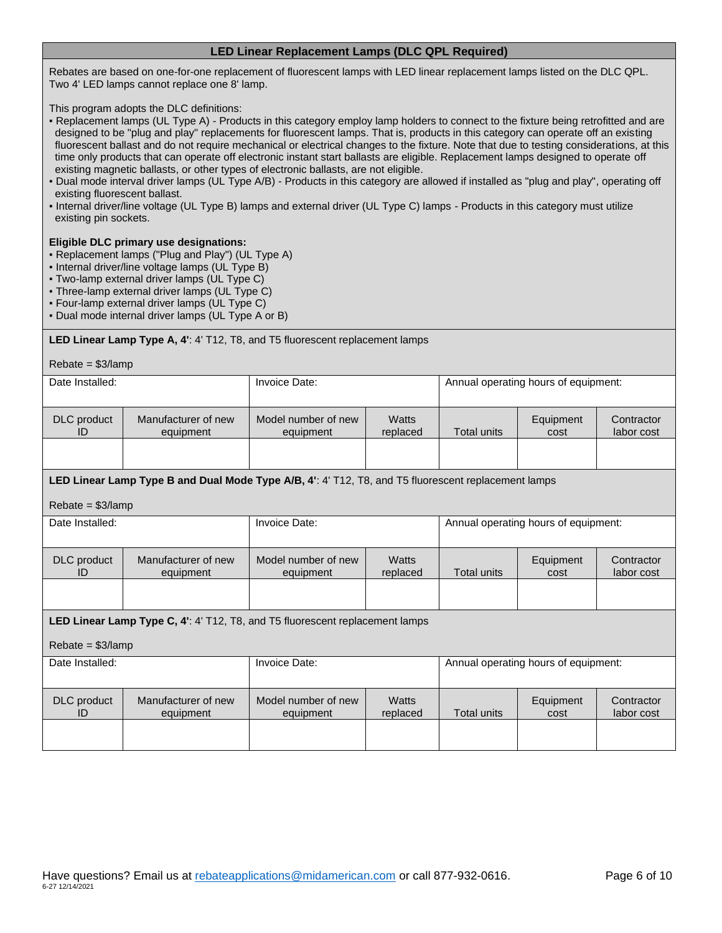## **LED Linear Replacement Lamps (DLC QPL Required)**

Rebates are based on one-for-one replacement of fluorescent lamps with LED linear replacement lamps listed on the DLC QPL. Two 4' LED lamps cannot replace one 8' lamp.

This program adopts the DLC definitions:

- Replacement lamps (UL Type A) Products in this category employ lamp holders to connect to the fixture being retrofitted and are designed to be "plug and play" replacements for fluorescent lamps. That is, products in this category can operate off an existing fluorescent ballast and do not require mechanical or electrical changes to the fixture. Note that due to testing considerations, at this time only products that can operate off electronic instant start ballasts are eligible. Replacement lamps designed to operate off existing magnetic ballasts, or other types of electronic ballasts, are not eligible.
- Dual mode interval driver lamps (UL Type A/B) Products in this category are allowed if installed as "plug and play", operating off existing fluorescent ballast.
- Internal driver/line voltage (UL Type B) lamps and external driver (UL Type C) lamps Products in this category must utilize existing pin sockets.

#### **Eligible DLC primary use designations:**

- Replacement lamps ("Plug and Play") (UL Type A)
- Internal driver/line voltage lamps (UL Type B)
- Two-lamp external driver lamps (UL Type C)
- Three-lamp external driver lamps (UL Type C)
- Four-lamp external driver lamps (UL Type C)
- Dual mode internal driver lamps (UL Type A or B)

**LED Linear Lamp Type A, 4'**: 4' T12, T8, and T5 fluorescent replacement lamps

| $Rebate = $3/$ lamp      |                                                                                                     |                                  |                   |                                      |                   |                          |  |
|--------------------------|-----------------------------------------------------------------------------------------------------|----------------------------------|-------------------|--------------------------------------|-------------------|--------------------------|--|
| Date Installed:          |                                                                                                     | Invoice Date:                    |                   | Annual operating hours of equipment: |                   |                          |  |
|                          |                                                                                                     |                                  |                   |                                      |                   |                          |  |
| <b>DLC</b> product<br>ID | Manufacturer of new<br>equipment                                                                    | Model number of new<br>equipment | Watts<br>replaced | <b>Total units</b>                   | Equipment<br>cost | Contractor<br>labor cost |  |
|                          |                                                                                                     |                                  |                   |                                      |                   |                          |  |
|                          |                                                                                                     |                                  |                   |                                      |                   |                          |  |
|                          | LED Linear Lamp Type B and Dual Mode Type A/B, 4': 4' T12, T8, and T5 fluorescent replacement lamps |                                  |                   |                                      |                   |                          |  |
| $Rebate = $3/$ lamp      |                                                                                                     |                                  |                   |                                      |                   |                          |  |
| Date Installed:          |                                                                                                     | Invoice Date:                    |                   | Annual operating hours of equipment: |                   |                          |  |
|                          |                                                                                                     |                                  |                   |                                      |                   |                          |  |
| DLC product<br>ID        | Manufacturer of new<br>equipment                                                                    | Model number of new<br>equipment | Watts<br>replaced | <b>Total units</b>                   | Equipment<br>cost | Contractor<br>labor cost |  |
|                          |                                                                                                     |                                  |                   |                                      |                   |                          |  |
|                          |                                                                                                     |                                  |                   |                                      |                   |                          |  |
|                          | <b>LED Linear Lamp Type C, 4': 4' T12, T8, and T5 fluorescent replacement lamps</b>                 |                                  |                   |                                      |                   |                          |  |
| $Rebate = $3/$ lamp      |                                                                                                     |                                  |                   |                                      |                   |                          |  |
| Date Installed:          |                                                                                                     | Invoice Date:                    |                   | Annual operating hours of equipment: |                   |                          |  |
|                          |                                                                                                     |                                  |                   |                                      |                   |                          |  |
| DLC product              | Manufacturer of new                                                                                 | Model number of new              | Watts             |                                      | Equipment         | Contractor               |  |
| ID                       | equipment                                                                                           | equipment                        | replaced          | <b>Total units</b>                   | cost              | labor cost               |  |
|                          |                                                                                                     |                                  |                   |                                      |                   |                          |  |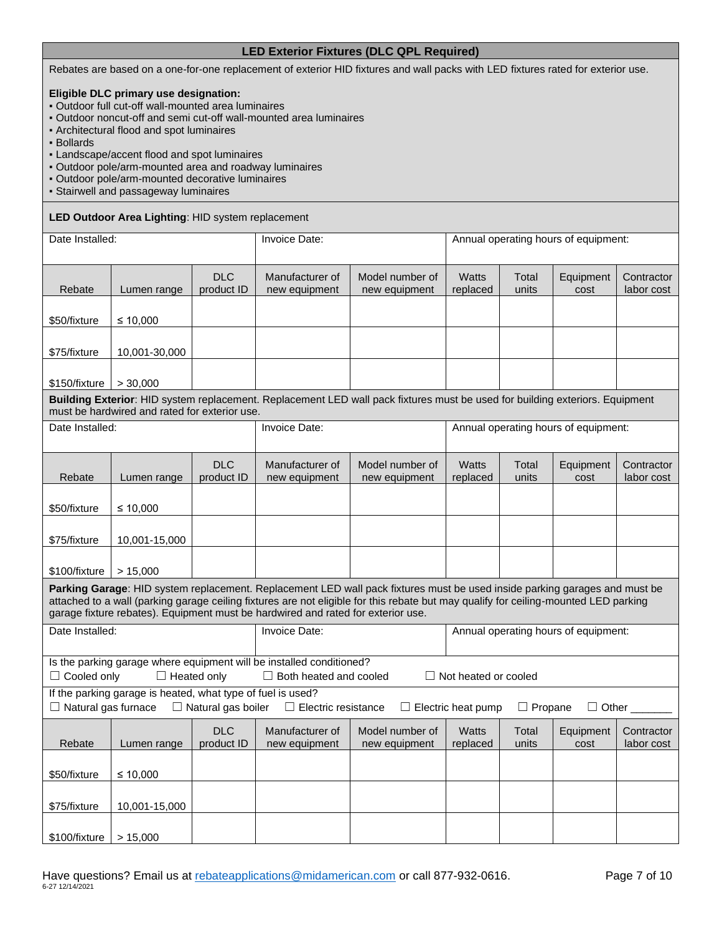## **LED Exterior Fixtures (DLC QPL Required)**

Rebates are based on a one-for-one replacement of exterior HID fixtures and wall packs with LED fixtures rated for exterior use.

#### **Eligible DLC primary use designation:**

- Outdoor full cut-off wall-mounted area luminaires
- Outdoor noncut-off and semi cut-off wall-mounted area luminaires
- Architectural flood and spot luminaires
- Bollards
- Landscape/accent flood and spot luminaires
- Outdoor pole/arm-mounted area and roadway luminaires
- Outdoor pole/arm-mounted decorative luminaires
- Stairwell and passageway luminaires

#### **LED Outdoor Area Lighting**: HID system replacement

| Date Installed:            |                                                             | Invoice Date:             |                                                                                                       | Annual operating hours of equipment:                                                                                                                                                                                                                               |                                      |                |                                      |                          |
|----------------------------|-------------------------------------------------------------|---------------------------|-------------------------------------------------------------------------------------------------------|--------------------------------------------------------------------------------------------------------------------------------------------------------------------------------------------------------------------------------------------------------------------|--------------------------------------|----------------|--------------------------------------|--------------------------|
| Rebate                     | Lumen range                                                 | <b>DLC</b><br>product ID  | Manufacturer of<br>new equipment                                                                      | Model number of<br>new equipment                                                                                                                                                                                                                                   | <b>Watts</b><br>replaced             | Total<br>units | Equipment<br>cost                    | Contractor<br>labor cost |
| \$50/fixture               | ≤ 10,000                                                    |                           |                                                                                                       |                                                                                                                                                                                                                                                                    |                                      |                |                                      |                          |
| \$75/fixture               | 10,001-30,000                                               |                           |                                                                                                       |                                                                                                                                                                                                                                                                    |                                      |                |                                      |                          |
| \$150/fixture              | > 30,000                                                    |                           |                                                                                                       |                                                                                                                                                                                                                                                                    |                                      |                |                                      |                          |
|                            | must be hardwired and rated for exterior use.               |                           |                                                                                                       | Building Exterior: HID system replacement. Replacement LED wall pack fixtures must be used for building exteriors. Equipment                                                                                                                                       |                                      |                |                                      |                          |
| Date Installed:            |                                                             |                           | Invoice Date:                                                                                         |                                                                                                                                                                                                                                                                    |                                      |                | Annual operating hours of equipment: |                          |
| Rebate                     | Lumen range                                                 | <b>DLC</b><br>product ID  | Manufacturer of<br>new equipment                                                                      | Model number of<br>new equipment                                                                                                                                                                                                                                   | <b>Watts</b><br>replaced             | Total<br>units | Equipment<br>cost                    | Contractor<br>labor cost |
| \$50/fixture               | ≤ 10,000                                                    |                           |                                                                                                       |                                                                                                                                                                                                                                                                    |                                      |                |                                      |                          |
| \$75/fixture               | 10,001-15,000                                               |                           |                                                                                                       |                                                                                                                                                                                                                                                                    |                                      |                |                                      |                          |
| \$100/fixture              | > 15,000                                                    |                           |                                                                                                       |                                                                                                                                                                                                                                                                    |                                      |                |                                      |                          |
|                            |                                                             |                           | garage fixture rebates). Equipment must be hardwired and rated for exterior use.                      | Parking Garage: HID system replacement. Replacement LED wall pack fixtures must be used inside parking garages and must be<br>attached to a wall (parking garage ceiling fixtures are not eligible for this rebate but may qualify for ceiling-mounted LED parking |                                      |                |                                      |                          |
| Date Installed:            |                                                             |                           | Invoice Date:                                                                                         |                                                                                                                                                                                                                                                                    | Annual operating hours of equipment: |                |                                      |                          |
| $\Box$ Cooled only         | $\Box$ Heated only                                          |                           | Is the parking garage where equipment will be installed conditioned?<br>$\Box$ Both heated and cooled |                                                                                                                                                                                                                                                                    | $\Box$ Not heated or cooled          |                |                                      |                          |
| $\Box$ Natural gas furnace | If the parking garage is heated, what type of fuel is used? | $\Box$ Natural gas boiler | $\Box$ Electric resistance                                                                            |                                                                                                                                                                                                                                                                    | $\Box$ Electric heat pump            | $\Box$ Propane | $\Box$ Other _                       |                          |
| Rebate                     | Lumen range                                                 | <b>DLC</b><br>product ID  | Manufacturer of<br>new equipment                                                                      | Model number of<br>new equipment                                                                                                                                                                                                                                   | <b>Watts</b><br>replaced             | Total<br>units | Equipment<br>cost                    | Contractor<br>labor cost |
| \$50/fixture               | ≤ 10,000                                                    |                           |                                                                                                       |                                                                                                                                                                                                                                                                    |                                      |                |                                      |                          |
| \$75/fixture               | 10,001-15,000                                               |                           |                                                                                                       |                                                                                                                                                                                                                                                                    |                                      |                |                                      |                          |
| \$100/fixture              | > 15,000                                                    |                           |                                                                                                       |                                                                                                                                                                                                                                                                    |                                      |                |                                      |                          |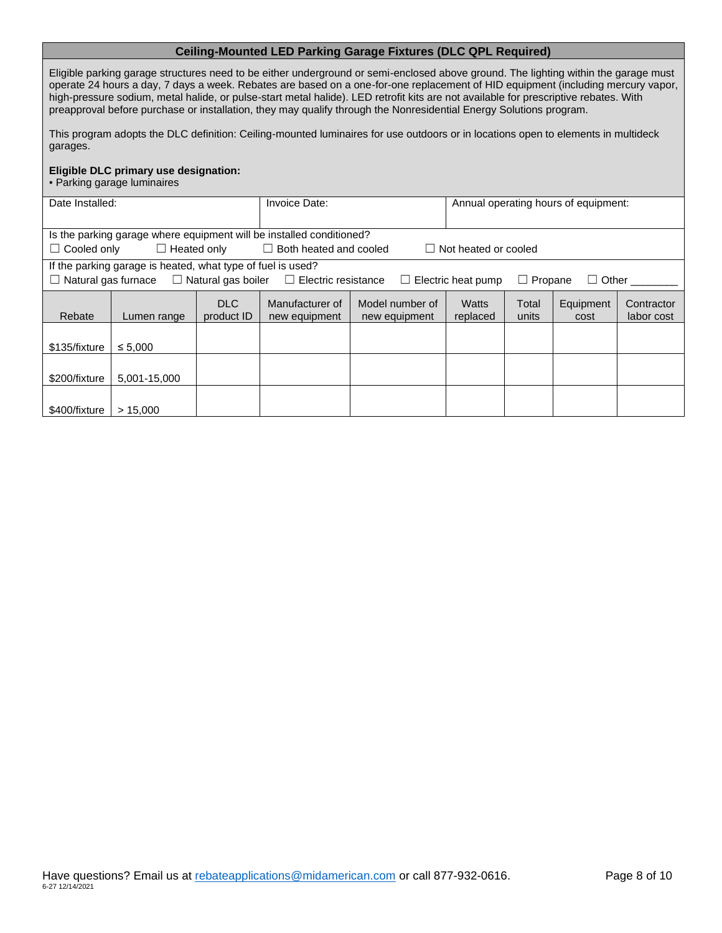## **Ceiling-Mounted LED Parking Garage Fixtures (DLC QPL Required)**

Eligible parking garage structures need to be either underground or semi-enclosed above ground. The lighting within the garage must operate 24 hours a day, 7 days a week. Rebates are based on a one-for-one replacement of HID equipment (including mercury vapor, high-pressure sodium, metal halide, or pulse-start metal halide). LED retrofit kits are not available for prescriptive rebates. With preapproval before purchase or installation, they may qualify through the Nonresidential Energy Solutions program.

This program adopts the DLC definition: Ceiling-mounted luminaires for use outdoors or in locations open to elements in multideck garages.

#### **Eligible DLC primary use designation:**

▪ Parking garage luminaires

| Date Installed:    |                                                             |                    | Invoice Date:                                                        |                                                                                                           | Annual operating hours of equipment: |                |              |            |
|--------------------|-------------------------------------------------------------|--------------------|----------------------------------------------------------------------|-----------------------------------------------------------------------------------------------------------|--------------------------------------|----------------|--------------|------------|
|                    |                                                             |                    |                                                                      |                                                                                                           |                                      |                |              |            |
|                    |                                                             |                    | Is the parking garage where equipment will be installed conditioned? |                                                                                                           |                                      |                |              |            |
| $\Box$ Cooled only |                                                             | $\Box$ Heated only | $\Box$ Both heated and cooled                                        |                                                                                                           | $\Box$ Not heated or cooled          |                |              |            |
|                    | If the parking garage is heated, what type of fuel is used? |                    |                                                                      |                                                                                                           |                                      |                |              |            |
|                    |                                                             |                    |                                                                      | $\Box$ Natural gas furnace $\Box$ Natural gas boiler $\Box$ Electric resistance $\Box$ Electric heat pump |                                      | $\Box$ Propane | $\Box$ Other |            |
|                    |                                                             | DLC.               | Manufacturer of                                                      | Model number of                                                                                           | Watts                                | Total          | Equipment    | Contractor |
| Rebate             | Lumen range                                                 | product ID         | new equipment                                                        | new equipment                                                                                             | replaced                             | units          | cost         | labor cost |
|                    |                                                             |                    |                                                                      |                                                                                                           |                                      |                |              |            |
| \$135/fixture      | $\leq 5.000$                                                |                    |                                                                      |                                                                                                           |                                      |                |              |            |
|                    |                                                             |                    |                                                                      |                                                                                                           |                                      |                |              |            |
| \$200/fixture      | 5,001-15,000                                                |                    |                                                                      |                                                                                                           |                                      |                |              |            |
|                    |                                                             |                    |                                                                      |                                                                                                           |                                      |                |              |            |
| \$400/fixture      | > 15.000                                                    |                    |                                                                      |                                                                                                           |                                      |                |              |            |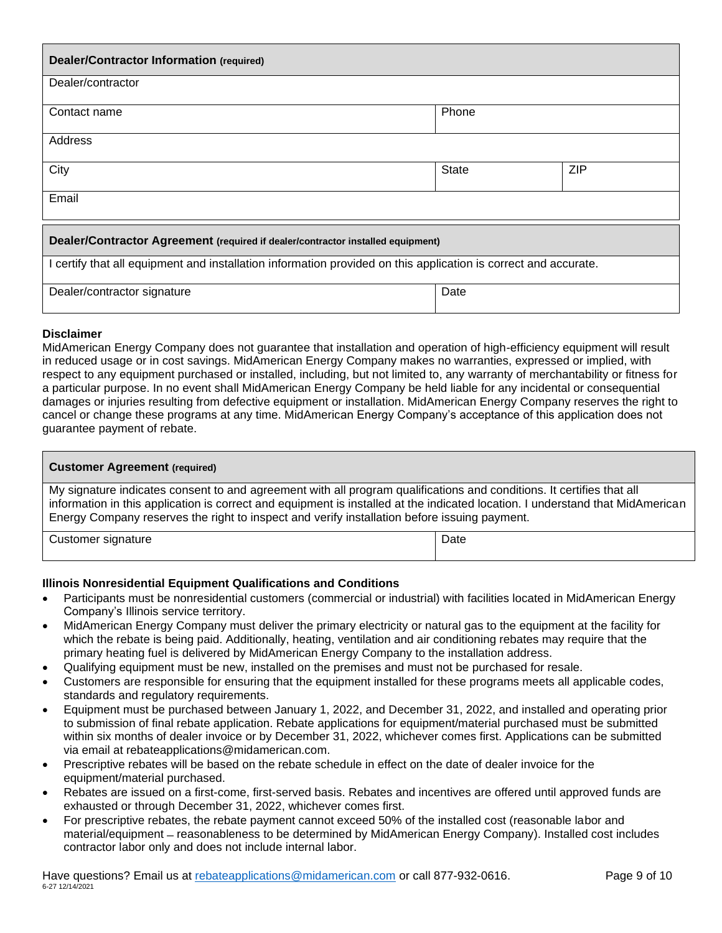| <b>Dealer/Contractor Information (required)</b>                                                                 |              |     |  |
|-----------------------------------------------------------------------------------------------------------------|--------------|-----|--|
| Dealer/contractor                                                                                               |              |     |  |
| Contact name                                                                                                    | Phone        |     |  |
| Address                                                                                                         |              |     |  |
| City                                                                                                            | <b>State</b> | ZIP |  |
| Email                                                                                                           |              |     |  |
| Dealer/Contractor Agreement (required if dealer/contractor installed equipment)                                 |              |     |  |
| I certify that all equipment and installation information provided on this application is correct and accurate. |              |     |  |
| Dealer/contractor signature                                                                                     | Date         |     |  |

## **Disclaimer**

MidAmerican Energy Company does not guarantee that installation and operation of high-efficiency equipment will result in reduced usage or in cost savings. MidAmerican Energy Company makes no warranties, expressed or implied, with respect to any equipment purchased or installed, including, but not limited to, any warranty of merchantability or fitness for a particular purpose. In no event shall MidAmerican Energy Company be held liable for any incidental or consequential damages or injuries resulting from defective equipment or installation. MidAmerican Energy Company reserves the right to cancel or change these programs at any time. MidAmerican Energy Company's acceptance of this application does not guarantee payment of rebate.

| <b>Customer Agreement (required)</b>                                                                                                                                                                                                                                                                                                                    |      |  |
|---------------------------------------------------------------------------------------------------------------------------------------------------------------------------------------------------------------------------------------------------------------------------------------------------------------------------------------------------------|------|--|
| My signature indicates consent to and agreement with all program qualifications and conditions. It certifies that all<br>information in this application is correct and equipment is installed at the indicated location. I understand that MidAmerican<br>Energy Company reserves the right to inspect and verify installation before issuing payment. |      |  |
| Customer signature                                                                                                                                                                                                                                                                                                                                      | Date |  |

## **Illinois Nonresidential Equipment Qualifications and Conditions**

- Participants must be nonresidential customers (commercial or industrial) with facilities located in MidAmerican Energy Company's Illinois service territory.
- MidAmerican Energy Company must deliver the primary electricity or natural gas to the equipment at the facility for which the rebate is being paid. Additionally, heating, ventilation and air conditioning rebates may require that the primary heating fuel is delivered by MidAmerican Energy Company to the installation address.
- Qualifying equipment must be new, installed on the premises and must not be purchased for resale.
- Customers are responsible for ensuring that the equipment installed for these programs meets all applicable codes, standards and regulatory requirements.
- Equipment must be purchased between January 1, 2022, and December 31, 2022, and installed and operating prior to submission of final rebate application. Rebate applications for equipment/material purchased must be submitted within six months of dealer invoice or by December 31, 2022, whichever comes first. Applications can be submitted via email at rebateapplications@midamerican.com.
- Prescriptive rebates will be based on the rebate schedule in effect on the date of dealer invoice for the equipment/material purchased.
- Rebates are issued on a first-come, first-served basis. Rebates and incentives are offered until approved funds are exhausted or through December 31, 2022, whichever comes first.
- For prescriptive rebates, the rebate payment cannot exceed 50% of the installed cost (reasonable labor and material/equipment ̶ reasonableness to be determined by MidAmerican Energy Company). Installed cost includes contractor labor only and does not include internal labor.